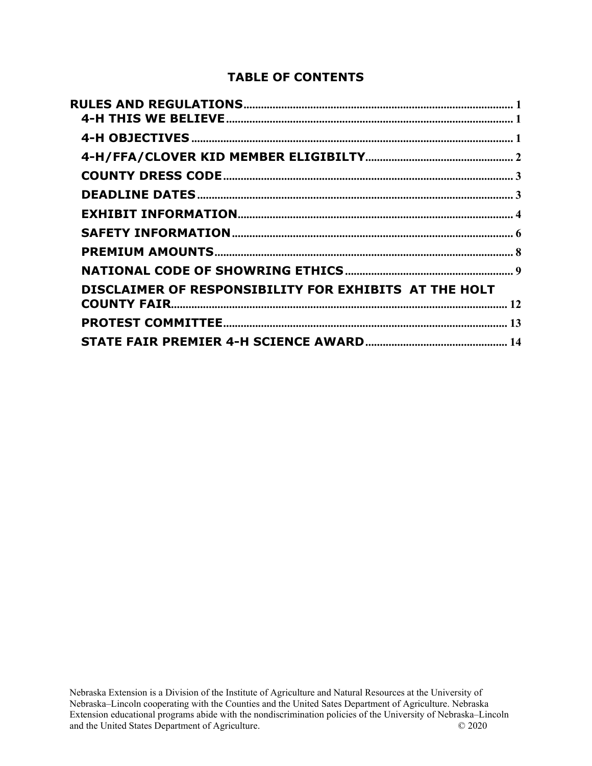#### **TABLE OF CONTENTS**

| DISCLAIMER OF RESPONSIBILITY FOR EXHIBITS  AT THE HOLT |  |
|--------------------------------------------------------|--|
|                                                        |  |
|                                                        |  |
|                                                        |  |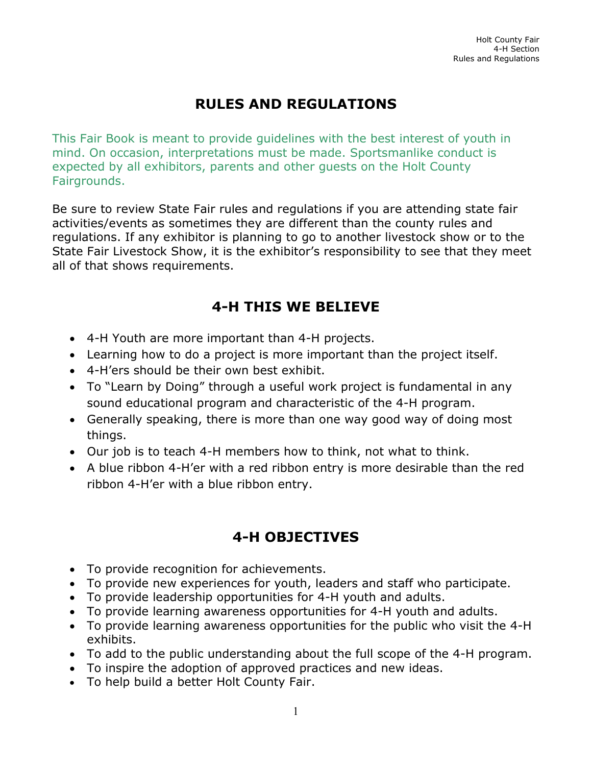# **RULES AND REGULATIONS**

<span id="page-1-0"></span>This Fair Book is meant to provide guidelines with the best interest of youth in mind. On occasion, interpretations must be made. Sportsmanlike conduct is expected by all exhibitors, parents and other guests on the Holt County Fairgrounds.

Be sure to review State Fair rules and regulations if you are attending state fair activities/events as sometimes they are different than the county rules and regulations. If any exhibitor is planning to go to another livestock show or to the State Fair Livestock Show, it is the exhibitor's responsibility to see that they meet all of that shows requirements.

# **4-H THIS WE BELIEVE**

- <span id="page-1-1"></span>• 4-H Youth are more important than 4-H projects.
- Learning how to do a project is more important than the project itself.
- 4-H'ers should be their own best exhibit.
- To "Learn by Doing" through a useful work project is fundamental in any sound educational program and characteristic of the 4-H program.
- Generally speaking, there is more than one way good way of doing most things.
- Our job is to teach 4-H members how to think, not what to think.
- A blue ribbon 4-H'er with a red ribbon entry is more desirable than the red ribbon 4-H'er with a blue ribbon entry.

### **4-H OBJECTIVES**

- <span id="page-1-2"></span>• To provide recognition for achievements.
- To provide new experiences for youth, leaders and staff who participate.
- To provide leadership opportunities for 4-H youth and adults.
- To provide learning awareness opportunities for 4-H youth and adults.
- To provide learning awareness opportunities for the public who visit the 4-H exhibits.
- To add to the public understanding about the full scope of the 4-H program.
- To inspire the adoption of approved practices and new ideas.
- To help build a better Holt County Fair.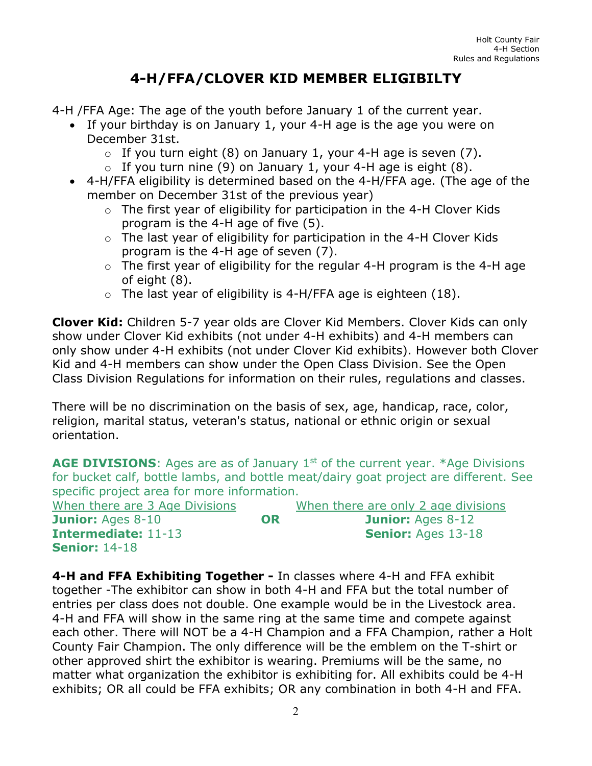# **4-H/FFA/CLOVER KID MEMBER ELIGIBILTY**

<span id="page-2-0"></span>4-H /FFA Age: The age of the youth before January 1 of the current year.

- If your birthday is on January 1, your 4-H age is the age you were on December 31st.
	- $\circ$  If you turn eight (8) on January 1, your 4-H age is seven (7).
	- $\circ$  If you turn nine (9) on January 1, your 4-H age is eight (8).
- 4-H/FFA eligibility is determined based on the 4-H/FFA age. (The age of the member on December 31st of the previous year)
	- o The first year of eligibility for participation in the 4-H Clover Kids program is the 4-H age of five (5).
	- o The last year of eligibility for participation in the 4-H Clover Kids program is the 4-H age of seven (7).
	- o The first year of eligibility for the regular 4-H program is the 4-H age of eight (8).
	- $\circ$  The last year of eligibility is 4-H/FFA age is eighteen (18).

**Clover Kid:** Children 5-7 year olds are Clover Kid Members. Clover Kids can only show under Clover Kid exhibits (not under 4-H exhibits) and 4-H members can only show under 4-H exhibits (not under Clover Kid exhibits). However both Clover Kid and 4-H members can show under the Open Class Division. See the Open Class Division Regulations for information on their rules, regulations and classes.

There will be no discrimination on the basis of sex, age, handicap, race, color, religion, marital status, veteran's status, national or ethnic origin or sexual orientation.

**AGE DIVISIONS:** Ages are as of January 1<sup>st</sup> of the current year. \*Age Divisions for bucket calf, bottle lambs, and bottle meat/dairy goat project are different. See specific project area for more information.

| When there are 3 Age Divisions |    | When there are only 2 age divisions |
|--------------------------------|----|-------------------------------------|
| <b>Junior: Ages 8-10</b>       | OR | <b>Junior: Ages 8-12</b>            |
| <b>Intermediate: 11-13</b>     |    | <b>Senior: Ages 13-18</b>           |
| <b>Senior: 14-18</b>           |    |                                     |

**4-H and FFA Exhibiting Together -** In classes where 4-H and FFA exhibit together -The exhibitor can show in both 4-H and FFA but the total number of entries per class does not double. One example would be in the Livestock area. 4-H and FFA will show in the same ring at the same time and compete against each other. There will NOT be a 4-H Champion and a FFA Champion, rather a Holt County Fair Champion. The only difference will be the emblem on the T-shirt or other approved shirt the exhibitor is wearing. Premiums will be the same, no matter what organization the exhibitor is exhibiting for. All exhibits could be 4-H exhibits; OR all could be FFA exhibits; OR any combination in both 4-H and FFA.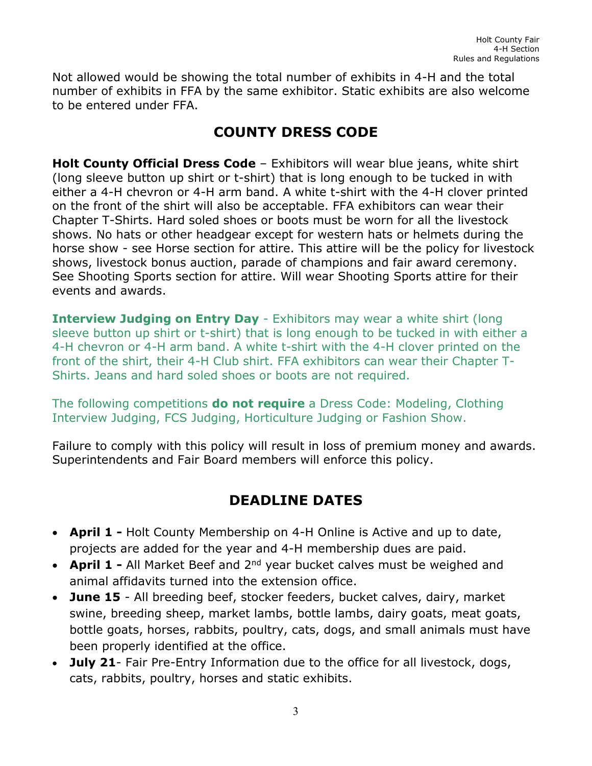<span id="page-3-0"></span>Not allowed would be showing the total number of exhibits in 4-H and the total number of exhibits in FFA by the same exhibitor. Static exhibits are also welcome to be entered under FFA.

# **COUNTY DRESS CODE**

**Holt County Official Dress Code** – Exhibitors will wear blue jeans, white shirt (long sleeve button up shirt or t-shirt) that is long enough to be tucked in with either a 4-H chevron or 4-H arm band. A white t-shirt with the 4-H clover printed on the front of the shirt will also be acceptable. FFA exhibitors can wear their Chapter T-Shirts. Hard soled shoes or boots must be worn for all the livestock shows. No hats or other headgear except for western hats or helmets during the horse show - see Horse section for attire. This attire will be the policy for livestock shows, livestock bonus auction, parade of champions and fair award ceremony. See Shooting Sports section for attire. Will wear Shooting Sports attire for their events and awards.

**Interview Judging on Entry Day** - Exhibitors may wear a white shirt (long sleeve button up shirt or t-shirt) that is long enough to be tucked in with either a 4-H chevron or 4-H arm band. A white t-shirt with the 4-H clover printed on the front of the shirt, their 4-H Club shirt. FFA exhibitors can wear their Chapter T-Shirts. Jeans and hard soled shoes or boots are not required.

The following competitions **do not require** a Dress Code: Modeling, Clothing Interview Judging, FCS Judging, Horticulture Judging or Fashion Show.

<span id="page-3-1"></span>Failure to comply with this policy will result in loss of premium money and awards. Superintendents and Fair Board members will enforce this policy.

## **DEADLINE DATES**

- **April 1 -** Holt County Membership on 4-H Online is Active and up to date, projects are added for the year and 4-H membership dues are paid.
- **April 1 -** All Market Beef and 2<sup>nd</sup> year bucket calves must be weighed and animal affidavits turned into the extension office.
- **June 15** All breeding beef, stocker feeders, bucket calves, dairy, market swine, breeding sheep, market lambs, bottle lambs, dairy goats, meat goats, bottle goats, horses, rabbits, poultry, cats, dogs, and small animals must have been properly identified at the office.
- **July 21** Fair Pre-Entry Information due to the office for all livestock, dogs, cats, rabbits, poultry, horses and static exhibits.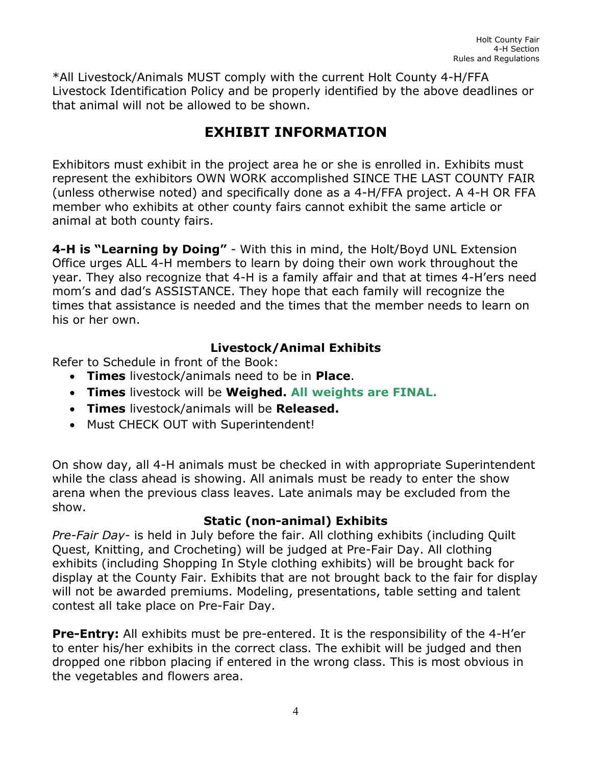<span id="page-4-0"></span>\*All Livestock/Animals MUST comply with the current Holt County 4-H/FFA Livestock Identification Policy and be properly identified by the above deadlines or that animal will not be allowed to be shown.

# **EXHIBIT INFORMATION**

Exhibitors must exhibit in the project area he or she is enrolled in. Exhibits must represent the exhibitors OWN WORK accomplished SINCE THE LAST COUNTY FAIR (unless otherwise noted) and specifically done as a 4-H/FFA project. A 4-H OR FFA member who exhibits at other county fairs cannot exhibit the same article or animal at both county fairs.

**4-H is "Learning by Doing"** - With this in mind, the Holt/Boyd UNL Extension Office urges ALL 4-H members to learn by doing their own work throughout the year. They also recognize that 4-H is a family affair and that at times 4-H'ers need mom's and dad's ASSISTANCE. They hope that each family will recognize the times that assistance is needed and the times that the member needs to learn on his or her own.

#### **Livestock/Animal Exhibits**

Refer to Schedule in front of the Book:

- **Times** livestock/animals need to be in **Place**.
- **Times** livestock will be **Weighed. All weights are FINAL.**
- **Times** livestock/animals will be **Released.**
- Must CHECK OUT with Superintendent!

On show day, all 4-H animals must be checked in with appropriate Superintendent while the class ahead is showing. All animals must be ready to enter the show arena when the previous class leaves. Late animals may be excluded from the show.

#### **Static (non-animal) Exhibits**

*Pre-Fair Day*- is held in July before the fair. All clothing exhibits (including Quilt Quest, Knitting, and Crocheting) will be judged at Pre-Fair Day. All clothing exhibits (including Shopping In Style clothing exhibits) will be brought back for display at the County Fair. Exhibits that are not brought back to the fair for display will not be awarded premiums. Modeling, presentations, table setting and talent contest all take place on Pre-Fair Day.

**Pre-Entry:** All exhibits must be pre-entered. It is the responsibility of the 4-H'er to enter his/her exhibits in the correct class. The exhibit will be judged and then dropped one ribbon placing if entered in the wrong class. This is most obvious in the vegetables and flowers area.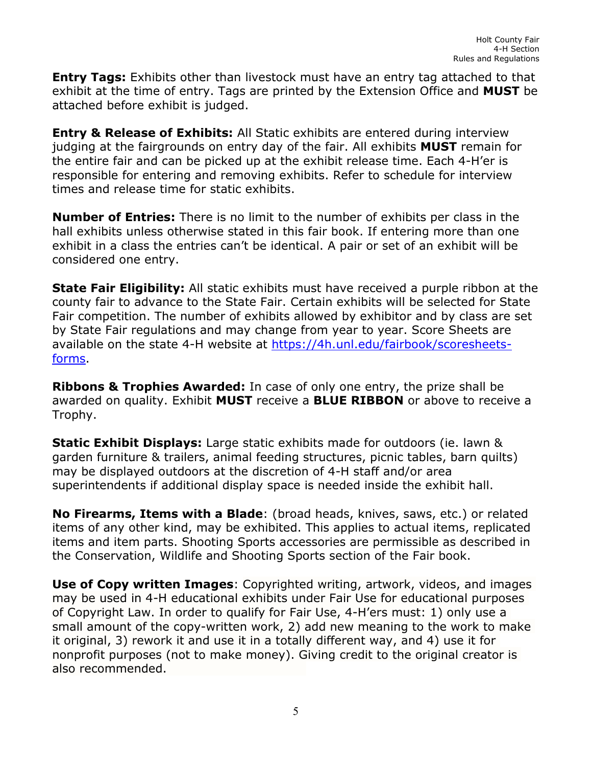**Entry Tags:** Exhibits other than livestock must have an entry tag attached to that exhibit at the time of entry. Tags are printed by the Extension Office and **MUST** be attached before exhibit is judged.

**Entry & Release of Exhibits:** All Static exhibits are entered during interview judging at the fairgrounds on entry day of the fair. All exhibits **MUST** remain for the entire fair and can be picked up at the exhibit release time. Each 4-H'er is responsible for entering and removing exhibits. Refer to schedule for interview times and release time for static exhibits.

**Number of Entries:** There is no limit to the number of exhibits per class in the hall exhibits unless otherwise stated in this fair book. If entering more than one exhibit in a class the entries can't be identical. A pair or set of an exhibit will be considered one entry.

**State Fair Eligibility:** All static exhibits must have received a purple ribbon at the county fair to advance to the State Fair. Certain exhibits will be selected for State Fair competition. The number of exhibits allowed by exhibitor and by class are set by State Fair regulations and may change from year to year. Score Sheets are available on the state 4-H website at [https://4h.unl.edu/fairbook/scoresheets](https://4h.unl.edu/fairbook/scoresheets-forms)[forms.](https://4h.unl.edu/fairbook/scoresheets-forms)

**Ribbons & Trophies Awarded:** In case of only one entry, the prize shall be awarded on quality. Exhibit **MUST** receive a **BLUE RIBBON** or above to receive a Trophy.

**Static Exhibit Displays:** Large static exhibits made for outdoors (ie. lawn & garden furniture & trailers, animal feeding structures, picnic tables, barn quilts) may be displayed outdoors at the discretion of 4-H staff and/or area superintendents if additional display space is needed inside the exhibit hall.

**No Firearms, Items with a Blade**: (broad heads, knives, saws, etc.) or related items of any other kind, may be exhibited. This applies to actual items, replicated items and item parts. Shooting Sports accessories are permissible as described in the Conservation, Wildlife and Shooting Sports section of the Fair book.

**Use of Copy written Images**: Copyrighted writing, artwork, videos, and images may be used in 4-H educational exhibits under Fair Use for educational purposes of Copyright Law. In order to qualify for Fair Use, 4-H'ers must: 1) only use a small amount of the copy-written work, 2) add new meaning to the work to make it original, 3) rework it and use it in a totally different way, and 4) use it for nonprofit purposes (not to make money). Giving credit to the original creator is also recommended.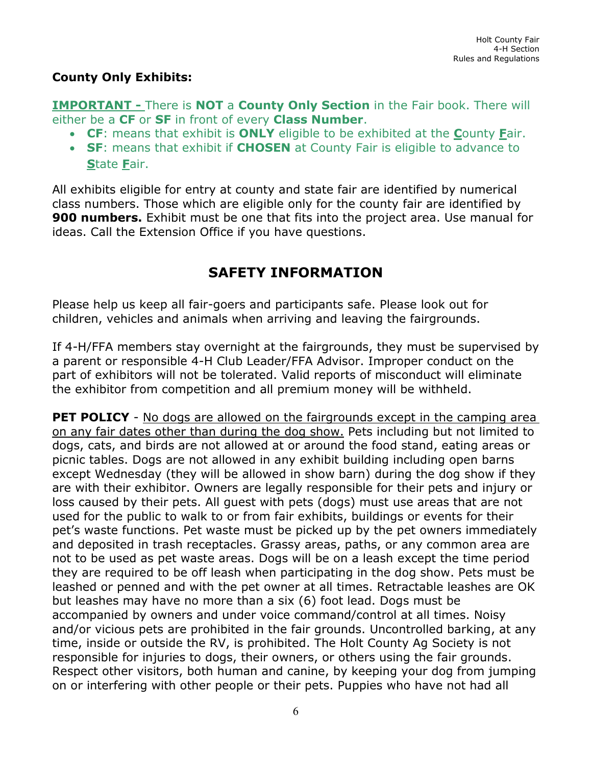#### **County Only Exhibits:**

**IMPORTANT -** There is **NOT** a **County Only Section** in the Fair book. There will either be a **CF** or **SF** in front of every **Class Number**.

- **CF**: means that exhibit is **ONLY** eligible to be exhibited at the **C**ounty **F**air.
- **SF**: means that exhibit if **CHOSEN** at County Fair is eligible to advance to **S**tate **F**air.

All exhibits eligible for entry at county and state fair are identified by numerical class numbers. Those which are eligible only for the county fair are identified by **900 numbers.** Exhibit must be one that fits into the project area. Use manual for ideas. Call the Extension Office if you have questions.

## **SAFETY INFORMATION**

<span id="page-6-0"></span>Please help us keep all fair-goers and participants safe. Please look out for children, vehicles and animals when arriving and leaving the fairgrounds.

If 4-H/FFA members stay overnight at the fairgrounds, they must be supervised by a parent or responsible 4-H Club Leader/FFA Advisor. Improper conduct on the part of exhibitors will not be tolerated. Valid reports of misconduct will eliminate the exhibitor from competition and all premium money will be withheld.

**PET POLICY** - No dogs are allowed on the fairgrounds except in the camping area on any fair dates other than during the dog show. Pets including but not limited to dogs, cats, and birds are not allowed at or around the food stand, eating areas or picnic tables. Dogs are not allowed in any exhibit building including open barns except Wednesday (they will be allowed in show barn) during the dog show if they are with their exhibitor. Owners are legally responsible for their pets and injury or loss caused by their pets. All guest with pets (dogs) must use areas that are not used for the public to walk to or from fair exhibits, buildings or events for their pet's waste functions. Pet waste must be picked up by the pet owners immediately and deposited in trash receptacles. Grassy areas, paths, or any common area are not to be used as pet waste areas. Dogs will be on a leash except the time period they are required to be off leash when participating in the dog show. Pets must be leashed or penned and with the pet owner at all times. Retractable leashes are OK but leashes may have no more than a six (6) foot lead. Dogs must be accompanied by owners and under voice command/control at all times. Noisy and/or vicious pets are prohibited in the fair grounds. Uncontrolled barking, at any time, inside or outside the RV, is prohibited. The Holt County Ag Society is not responsible for injuries to dogs, their owners, or others using the fair grounds. Respect other visitors, both human and canine, by keeping your dog from jumping on or interfering with other people or their pets. Puppies who have not had all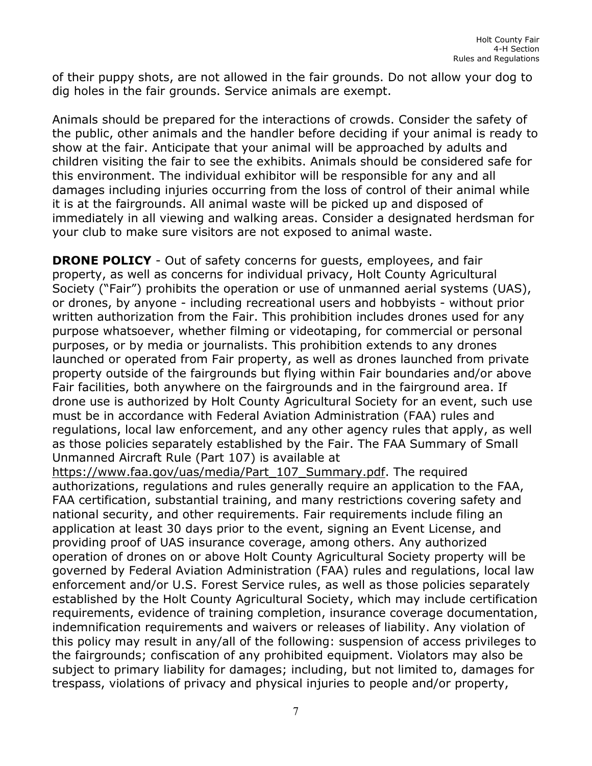of their puppy shots, are not allowed in the fair grounds. Do not allow your dog to dig holes in the fair grounds. Service animals are exempt.

Animals should be prepared for the interactions of crowds. Consider the safety of the public, other animals and the handler before deciding if your animal is ready to show at the fair. Anticipate that your animal will be approached by adults and children visiting the fair to see the exhibits. Animals should be considered safe for this environment. The individual exhibitor will be responsible for any and all damages including injuries occurring from the loss of control of their animal while it is at the fairgrounds. All animal waste will be picked up and disposed of immediately in all viewing and walking areas. Consider a designated herdsman for your club to make sure visitors are not exposed to animal waste.

**DRONE POLICY** - Out of safety concerns for quests, employees, and fair property, as well as concerns for individual privacy, Holt County Agricultural Society ("Fair") prohibits the operation or use of unmanned aerial systems (UAS), or drones, by anyone - including recreational users and hobbyists - without prior written authorization from the Fair. This prohibition includes drones used for any purpose whatsoever, whether filming or videotaping, for commercial or personal purposes, or by media or journalists. This prohibition extends to any drones launched or operated from Fair property, as well as drones launched from private property outside of the fairgrounds but flying within Fair boundaries and/or above Fair facilities, both anywhere on the fairgrounds and in the fairground area. If drone use is authorized by Holt County Agricultural Society for an event, such use must be in accordance with Federal Aviation Administration (FAA) rules and regulations, local law enforcement, and any other agency rules that apply, as well as those policies separately established by the Fair. The FAA Summary of Small Unmanned Aircraft Rule (Part 107) is available at

[https://www.faa.gov/uas/media/Part\\_107\\_Summary.pdf.](https://www.faa.gov/uas/media/Part_107_Summary.pdf) The required authorizations, regulations and rules generally require an application to the FAA, FAA certification, substantial training, and many restrictions covering safety and national security, and other requirements. Fair requirements include filing an application at least 30 days prior to the event, signing an Event License, and providing proof of UAS insurance coverage, among others. Any authorized operation of drones on or above Holt County Agricultural Society property will be governed by Federal Aviation Administration (FAA) rules and regulations, local law enforcement and/or U.S. Forest Service rules, as well as those policies separately established by the Holt County Agricultural Society, which may include certification requirements, evidence of training completion, insurance coverage documentation, indemnification requirements and waivers or releases of liability. Any violation of this policy may result in any/all of the following: suspension of access privileges to the fairgrounds; confiscation of any prohibited equipment. Violators may also be subject to primary liability for damages; including, but not limited to, damages for trespass, violations of privacy and physical injuries to people and/or property,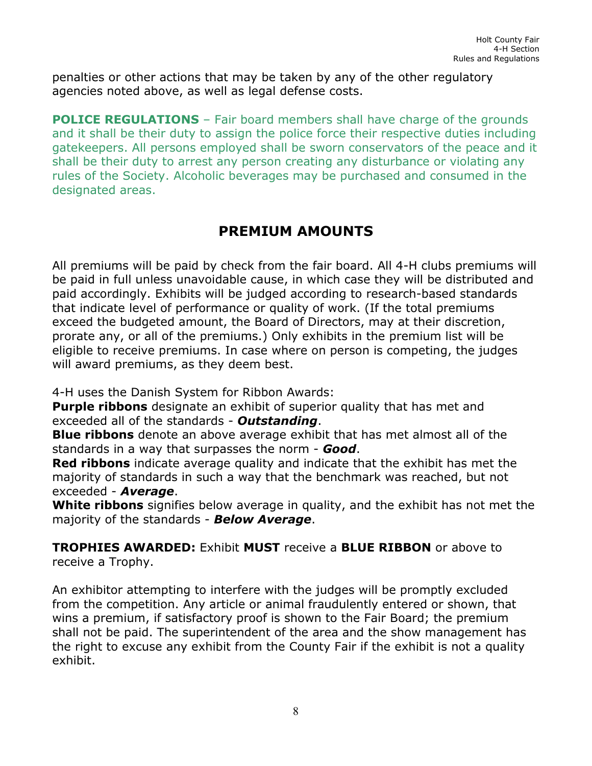penalties or other actions that may be taken by any of the other regulatory agencies noted above, as well as legal defense costs.

**POLICE REGULATIONS** – Fair board members shall have charge of the grounds and it shall be their duty to assign the police force their respective duties including gatekeepers. All persons employed shall be sworn conservators of the peace and it shall be their duty to arrest any person creating any disturbance or violating any rules of the Society. Alcoholic beverages may be purchased and consumed in the designated areas.

# **PREMIUM AMOUNTS**

<span id="page-8-0"></span>All premiums will be paid by check from the fair board. All 4-H clubs premiums will be paid in full unless unavoidable cause, in which case they will be distributed and paid accordingly. Exhibits will be judged according to research-based standards that indicate level of performance or quality of work. (If the total premiums exceed the budgeted amount, the Board of Directors, may at their discretion, prorate any, or all of the premiums.) Only exhibits in the premium list will be eligible to receive premiums. In case where on person is competing, the judges will award premiums, as they deem best.

4-H uses the Danish System for Ribbon Awards:

**Purple ribbons** designate an exhibit of superior quality that has met and exceeded all of the standards - *Outstanding*.

**Blue ribbons** denote an above average exhibit that has met almost all of the standards in a way that surpasses the norm - *Good*.

**Red ribbons** indicate average quality and indicate that the exhibit has met the majority of standards in such a way that the benchmark was reached, but not exceeded - *Average*.

**White ribbons** signifies below average in quality, and the exhibit has not met the majority of the standards - *Below Average*.

**TROPHIES AWARDED:** Exhibit **MUST** receive a **BLUE RIBBON** or above to receive a Trophy.

An exhibitor attempting to interfere with the judges will be promptly excluded from the competition. Any article or animal fraudulently entered or shown, that wins a premium, if satisfactory proof is shown to the Fair Board; the premium shall not be paid. The superintendent of the area and the show management has the right to excuse any exhibit from the County Fair if the exhibit is not a quality exhibit.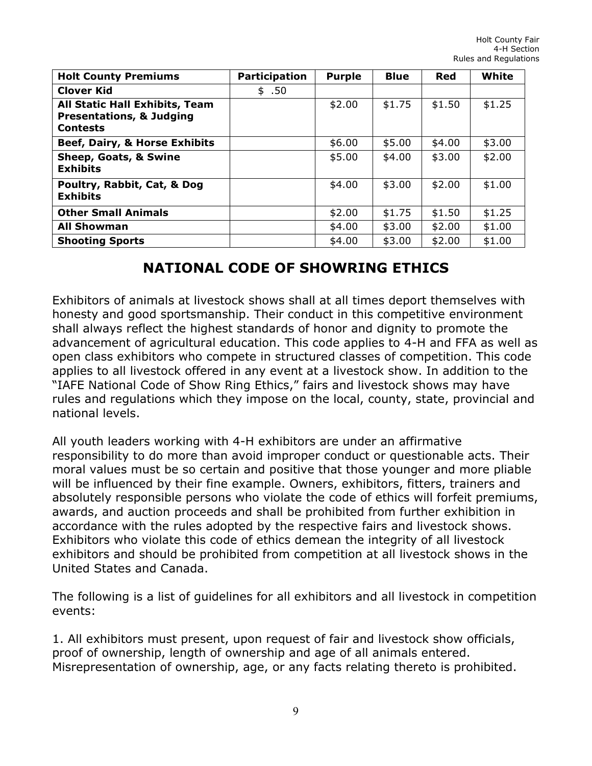| <b>Holt County Premiums</b>                                                                     | <b>Participation</b> | <b>Purple</b> | <b>Blue</b> | Red    | White  |
|-------------------------------------------------------------------------------------------------|----------------------|---------------|-------------|--------|--------|
| <b>Clover Kid</b>                                                                               | \$.50                |               |             |        |        |
| <b>All Static Hall Exhibits, Team</b><br><b>Presentations, &amp; Judging</b><br><b>Contests</b> |                      | \$2.00        | \$1.75      | \$1.50 | \$1.25 |
| Beef, Dairy, & Horse Exhibits                                                                   |                      | \$6.00        | \$5.00      | \$4.00 | \$3.00 |
| Sheep, Goats, & Swine<br><b>Exhibits</b>                                                        |                      | \$5.00        | \$4.00      | \$3.00 | \$2.00 |
| Poultry, Rabbit, Cat, & Dog<br><b>Exhibits</b>                                                  |                      | \$4.00        | \$3.00      | \$2.00 | \$1.00 |
| <b>Other Small Animals</b>                                                                      |                      | \$2.00        | \$1.75      | \$1.50 | \$1.25 |
| <b>All Showman</b>                                                                              |                      | \$4.00        | \$3.00      | \$2.00 | \$1.00 |
| <b>Shooting Sports</b>                                                                          |                      | \$4.00        | \$3.00      | \$2.00 | \$1.00 |

## **NATIONAL CODE OF SHOWRING ETHICS**

<span id="page-9-0"></span>Exhibitors of animals at livestock shows shall at all times deport themselves with honesty and good sportsmanship. Their conduct in this competitive environment shall always reflect the highest standards of honor and dignity to promote the advancement of agricultural education. This code applies to 4-H and FFA as well as open class exhibitors who compete in structured classes of competition. This code applies to all livestock offered in any event at a livestock show. In addition to the "IAFE National Code of Show Ring Ethics," fairs and livestock shows may have rules and regulations which they impose on the local, county, state, provincial and national levels.

All youth leaders working with 4-H exhibitors are under an affirmative responsibility to do more than avoid improper conduct or questionable acts. Their moral values must be so certain and positive that those younger and more pliable will be influenced by their fine example. Owners, exhibitors, fitters, trainers and absolutely responsible persons who violate the code of ethics will forfeit premiums, awards, and auction proceeds and shall be prohibited from further exhibition in accordance with the rules adopted by the respective fairs and livestock shows. Exhibitors who violate this code of ethics demean the integrity of all livestock exhibitors and should be prohibited from competition at all livestock shows in the United States and Canada.

The following is a list of guidelines for all exhibitors and all livestock in competition events:

1. All exhibitors must present, upon request of fair and livestock show officials, proof of ownership, length of ownership and age of all animals entered. Misrepresentation of ownership, age, or any facts relating thereto is prohibited.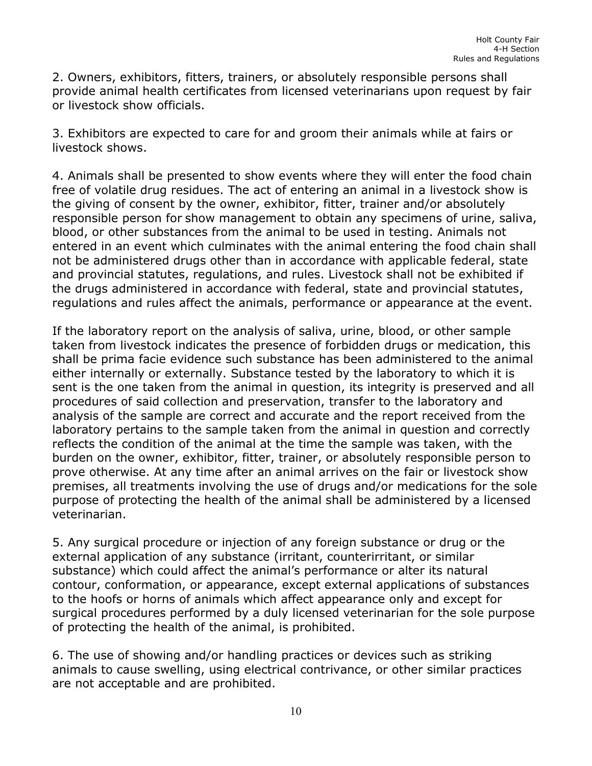2. Owners, exhibitors, fitters, trainers, or absolutely responsible persons shall provide animal health certificates from licensed veterinarians upon request by fair or livestock show officials.

3. Exhibitors are expected to care for and groom their animals while at fairs or livestock shows.

4. Animals shall be presented to show events where they will enter the food chain free of volatile drug residues. The act of entering an animal in a livestock show is the giving of consent by the owner, exhibitor, fitter, trainer and/or absolutely responsible person for show management to obtain any specimens of urine, saliva, blood, or other substances from the animal to be used in testing. Animals not entered in an event which culminates with the animal entering the food chain shall not be administered drugs other than in accordance with applicable federal, state and provincial statutes, regulations, and rules. Livestock shall not be exhibited if the drugs administered in accordance with federal, state and provincial statutes, regulations and rules affect the animals, performance or appearance at the event.

If the laboratory report on the analysis of saliva, urine, blood, or other sample taken from livestock indicates the presence of forbidden drugs or medication, this shall be prima facie evidence such substance has been administered to the animal either internally or externally. Substance tested by the laboratory to which it is sent is the one taken from the animal in question, its integrity is preserved and all procedures of said collection and preservation, transfer to the laboratory and analysis of the sample are correct and accurate and the report received from the laboratory pertains to the sample taken from the animal in question and correctly reflects the condition of the animal at the time the sample was taken, with the burden on the owner, exhibitor, fitter, trainer, or absolutely responsible person to prove otherwise. At any time after an animal arrives on the fair or livestock show premises, all treatments involving the use of drugs and/or medications for the sole purpose of protecting the health of the animal shall be administered by a licensed veterinarian.

5. Any surgical procedure or injection of any foreign substance or drug or the external application of any substance (irritant, counterirritant, or similar substance) which could affect the animal's performance or alter its natural contour, conformation, or appearance, except external applications of substances to the hoofs or horns of animals which affect appearance only and except for surgical procedures performed by a duly licensed veterinarian for the sole purpose of protecting the health of the animal, is prohibited.

6. The use of showing and/or handling practices or devices such as striking animals to cause swelling, using electrical contrivance, or other similar practices are not acceptable and are prohibited.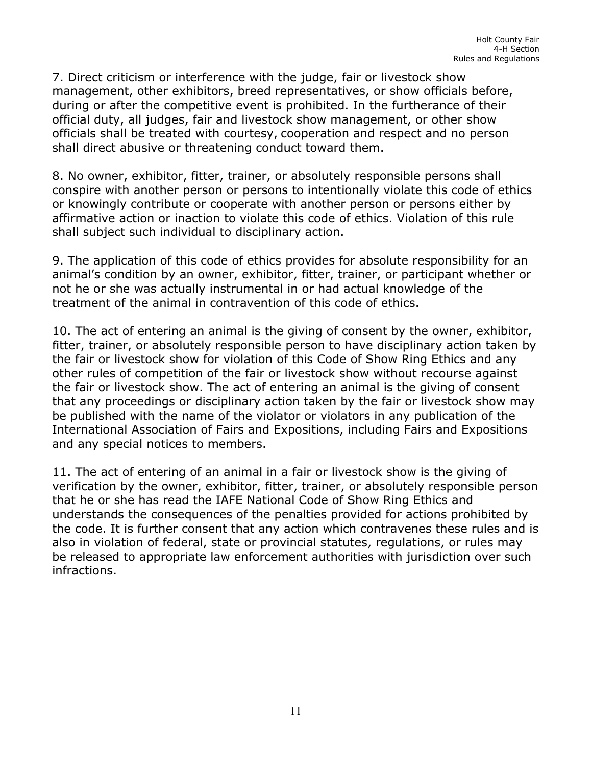7. Direct criticism or interference with the judge, fair or livestock show management, other exhibitors, breed representatives, or show officials before, during or after the competitive event is prohibited. In the furtherance of their official duty, all judges, fair and livestock show management, or other show officials shall be treated with courtesy, cooperation and respect and no person shall direct abusive or threatening conduct toward them.

8. No owner, exhibitor, fitter, trainer, or absolutely responsible persons shall conspire with another person or persons to intentionally violate this code of ethics or knowingly contribute or cooperate with another person or persons either by affirmative action or inaction to violate this code of ethics. Violation of this rule shall subject such individual to disciplinary action.

9. The application of this code of ethics provides for absolute responsibility for an animal's condition by an owner, exhibitor, fitter, trainer, or participant whether or not he or she was actually instrumental in or had actual knowledge of the treatment of the animal in contravention of this code of ethics.

10. The act of entering an animal is the giving of consent by the owner, exhibitor, fitter, trainer, or absolutely responsible person to have disciplinary action taken by the fair or livestock show for violation of this Code of Show Ring Ethics and any other rules of competition of the fair or livestock show without recourse against the fair or livestock show. The act of entering an animal is the giving of consent that any proceedings or disciplinary action taken by the fair or livestock show may be published with the name of the violator or violators in any publication of the International Association of Fairs and Expositions, including Fairs and Expositions and any special notices to members.

11. The act of entering of an animal in a fair or livestock show is the giving of verification by the owner, exhibitor, fitter, trainer, or absolutely responsible person that he or she has read the IAFE National Code of Show Ring Ethics and understands the consequences of the penalties provided for actions prohibited by the code. It is further consent that any action which contravenes these rules and is also in violation of federal, state or provincial statutes, regulations, or rules may be released to appropriate law enforcement authorities with jurisdiction over such infractions.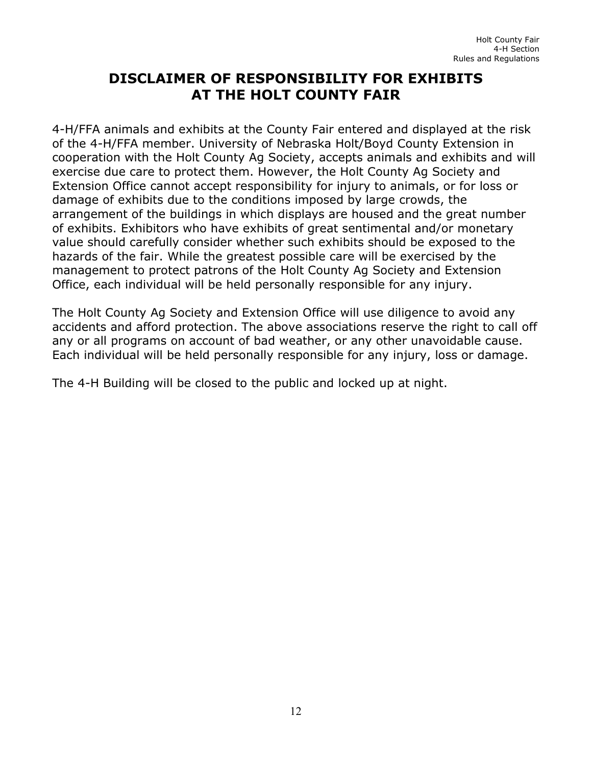## **DISCLAIMER OF RESPONSIBILITY FOR EXHIBITS AT THE HOLT COUNTY FAIR**

<span id="page-12-0"></span>4-H/FFA animals and exhibits at the County Fair entered and displayed at the risk of the 4-H/FFA member. University of Nebraska Holt/Boyd County Extension in cooperation with the Holt County Ag Society, accepts animals and exhibits and will exercise due care to protect them. However, the Holt County Ag Society and Extension Office cannot accept responsibility for injury to animals, or for loss or damage of exhibits due to the conditions imposed by large crowds, the arrangement of the buildings in which displays are housed and the great number of exhibits. Exhibitors who have exhibits of great sentimental and/or monetary value should carefully consider whether such exhibits should be exposed to the hazards of the fair. While the greatest possible care will be exercised by the management to protect patrons of the Holt County Ag Society and Extension Office, each individual will be held personally responsible for any injury.

The Holt County Ag Society and Extension Office will use diligence to avoid any accidents and afford protection. The above associations reserve the right to call off any or all programs on account of bad weather, or any other unavoidable cause. Each individual will be held personally responsible for any injury, loss or damage.

The 4-H Building will be closed to the public and locked up at night.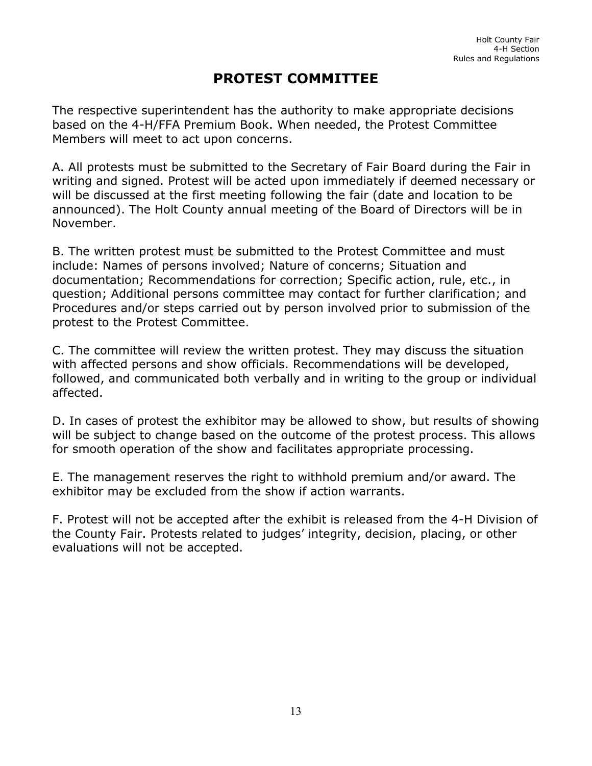# **PROTEST COMMITTEE**

<span id="page-13-0"></span>The respective superintendent has the authority to make appropriate decisions based on the 4-H/FFA Premium Book. When needed, the Protest Committee Members will meet to act upon concerns.

A. All protests must be submitted to the Secretary of Fair Board during the Fair in writing and signed. Protest will be acted upon immediately if deemed necessary or will be discussed at the first meeting following the fair (date and location to be announced). The Holt County annual meeting of the Board of Directors will be in November.

B. The written protest must be submitted to the Protest Committee and must include: Names of persons involved; Nature of concerns; Situation and documentation; Recommendations for correction; Specific action, rule, etc., in question; Additional persons committee may contact for further clarification; and Procedures and/or steps carried out by person involved prior to submission of the protest to the Protest Committee.

C. The committee will review the written protest. They may discuss the situation with affected persons and show officials. Recommendations will be developed, followed, and communicated both verbally and in writing to the group or individual affected.

D. In cases of protest the exhibitor may be allowed to show, but results of showing will be subject to change based on the outcome of the protest process. This allows for smooth operation of the show and facilitates appropriate processing.

E. The management reserves the right to withhold premium and/or award. The exhibitor may be excluded from the show if action warrants.

F. Protest will not be accepted after the exhibit is released from the 4-H Division of the County Fair. Protests related to judges' integrity, decision, placing, or other evaluations will not be accepted.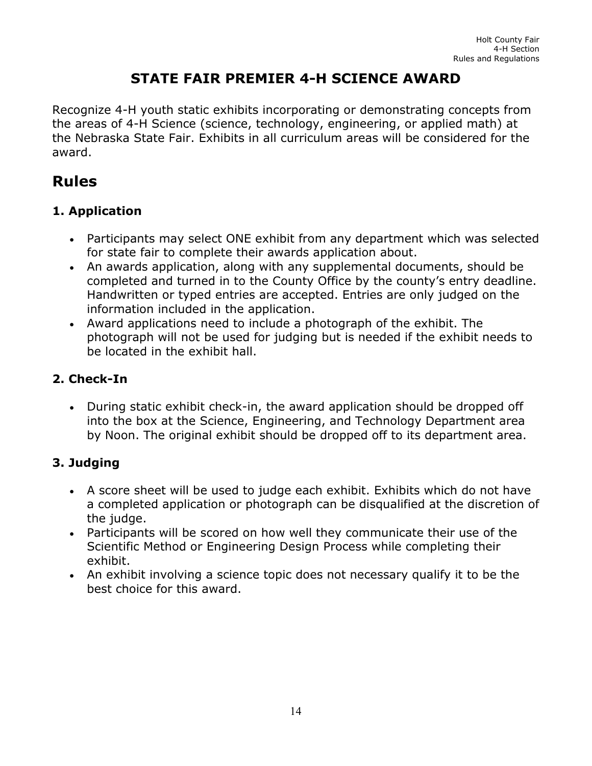# **STATE FAIR PREMIER 4-H SCIENCE AWARD**

<span id="page-14-0"></span>Recognize 4-H youth static exhibits incorporating or demonstrating concepts from the areas of 4-H Science (science, technology, engineering, or applied math) at the Nebraska State Fair. Exhibits in all curriculum areas will be considered for the award.

# **Rules**

#### **1. Application**

- Participants may select ONE exhibit from any department which was selected for state fair to complete their awards application about.
- An awards application, along with any supplemental documents, should be completed and turned in to the County Office by the county's entry deadline. Handwritten or typed entries are accepted. Entries are only judged on the information included in the application.
- Award applications need to include a photograph of the exhibit. The photograph will not be used for judging but is needed if the exhibit needs to be located in the exhibit hall.

#### **2. Check-In**

• During static exhibit check-in, the award application should be dropped off into the box at the Science, Engineering, and Technology Department area by Noon. The original exhibit should be dropped off to its department area.

#### **3. Judging**

- A score sheet will be used to judge each exhibit. Exhibits which do not have a completed application or photograph can be disqualified at the discretion of the judge.
- Participants will be scored on how well they communicate their use of the Scientific Method or Engineering Design Process while completing their exhibit.
- An exhibit involving a science topic does not necessary qualify it to be the best choice for this award.